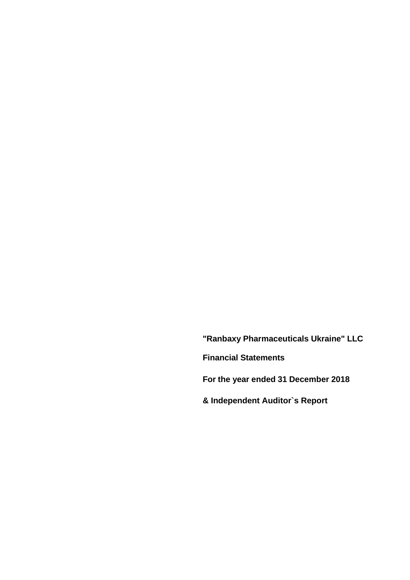**"Ranbaxy Pharmaceuticals Ukraine" LLC**

**Financial Statements**

**For the year ended 31 December 2018**

**& Independent Auditor`s Report**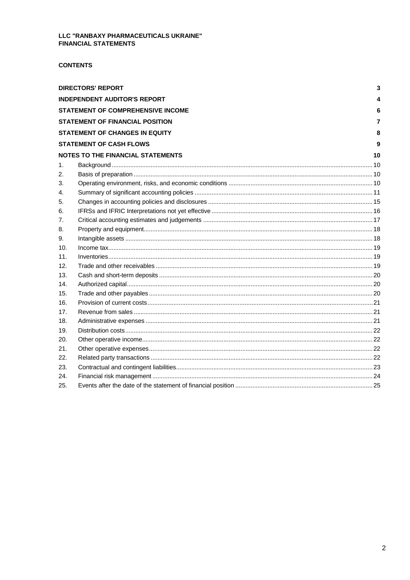# **CONTENTS**

|                 | <b>DIRECTORS' REPORT</b>                 | 3  |
|-----------------|------------------------------------------|----|
|                 | <b>INDEPENDENT AUDITOR'S REPORT</b>      | 4  |
|                 | <b>STATEMENT OF COMPREHENSIVE INCOME</b> | 6  |
|                 | <b>STATEMENT OF FINANCIAL POSITION</b>   | 7  |
|                 | <b>STATEMENT OF CHANGES IN EQUITY</b>    | 8  |
|                 | <b>STATEMENT OF CASH FLOWS</b>           | 9  |
|                 | <b>NOTES TO THE FINANCIAL STATEMENTS</b> | 10 |
| 1.              |                                          |    |
| 2.              |                                          |    |
| 3.              |                                          |    |
| 4.              |                                          |    |
| 5.              |                                          |    |
| 6.              |                                          |    |
| 7.              |                                          |    |
| 8.              |                                          |    |
| 9.              |                                          |    |
| 10.             |                                          |    |
| 11.             |                                          |    |
| 12 <sub>1</sub> |                                          |    |
| 13.             |                                          |    |
| 14.             |                                          |    |
| 15.             |                                          |    |
| 16.             |                                          |    |
| 17.             |                                          |    |
| 18.             |                                          |    |
| 19.             |                                          |    |
| 20.             |                                          |    |
| 21.             |                                          |    |
| 22.             |                                          |    |
| 23.             |                                          |    |
| 24.             |                                          |    |
| 25.             |                                          |    |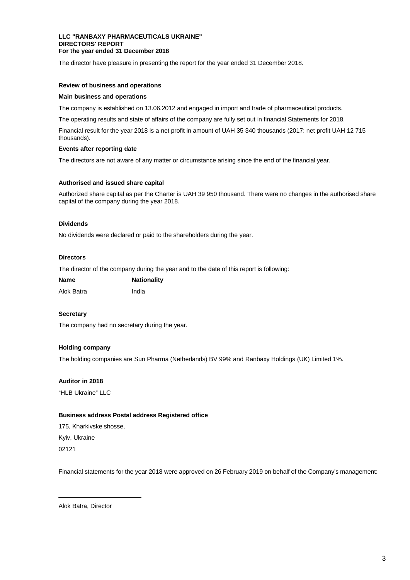## **LLC "RANBAXY PHARMACEUTICALS UKRAINE" DIRECTORS' REPORT For the year ended 31 December 2018**

<span id="page-2-0"></span>The director have pleasure in presenting the report for the year ended 31 December 2018.

### **Review of business and operations**

#### **Main business and operations**

The company is established on 13.06.2012 and engaged in import and trade of pharmaceutical products.

The operating results and state of affairs of the company are fully set out in financial Statements for 2018.

Financial result for the year 2018 is a net profit in amount of UAH 35 340 thousands (2017: net profit UAH 12 715 thousands).

#### **Events after reporting date**

The directors are not aware of any matter or circumstance arising since the end of the financial year.

#### **Authorised and issued share capital**

Authorized share capital as per the Charter is UAH 39 950 thousand. There were no changes in the authorised share capital of the company during the year 2018.

# **Dividends**

No dividends were declared or paid to the shareholders during the year.

#### **Directors**

The director of the company during the year and to the date of this report is following:

| <b>Name</b> | <b>Nationality</b> |
|-------------|--------------------|
| Alok Batra  | India              |

## **Secretary**

The company had no secretary during the year.

## **Holding company**

The holding companies are Sun Pharma (Netherlands) BV 99% and Ranbaxy Holdings (UK) Limited 1%.

## **Auditor in 2018**

"HLB Ukraine" LLC

## **Business address Postal address Registered office**

175, Kharkivske shosse, Kyiv, Ukraine 02121

Financial statements for the year 2018 were approved on 26 February 2019 on behalf of the Company's management:

Alok Batra, Director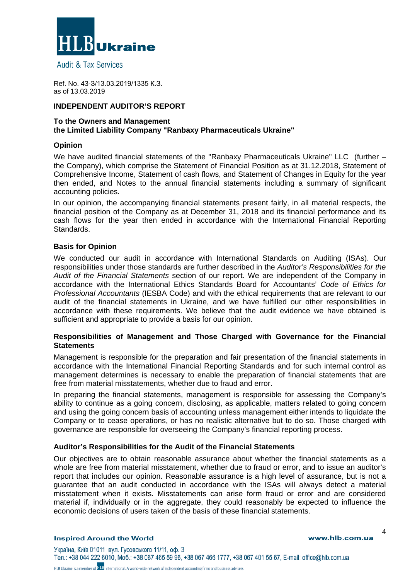

**Audit & Tax Services** 

Ref. No. 43-З/13.03.2019/1335 К.З. as of 13.03.2019

# **INDEPENDENT AUDITOR'S REPORT**

# **To the Owners and Management the Limited Liability Company "Ranbaxy Pharmaceuticals Ukraine"**

# **Opinion**

We have audited financial statements of the "Ranbaxy Pharmaceuticals Ukraine" LLC (further the Company), which comprise the Statement of Financial Position as at 31.12.2018, Statement of Comprehensive Income, Statement of cash flows, and Statement of Changes in Equity for the year then ended, and Notes to the annual financial statements including a summary of significant accounting policies.

In our opinion, the accompanying financial statements present fairly, in all material respects, the financial position of the Company as at December 31, 2018 and its financial performance and its cash flows for the year then ended in accordance with the International Financial Reporting Standards.

# **Basis for Opinion**

We conducted our audit in accordance with International Standards on Auditing (ISAs). Our responsibilities under those standards are further described in the *Auditor's Responsibilities for the Audit of the Financial Statements* section of our report. We are independent of the Company in accordance with the International Ethics Standards Board for Accountants' *Code of Ethics for Professional Accountants* (IESBA Code) and with the ethical requirements that are relevant to our audit of the financial statements in Ukraine, and we have fulfilled our other responsibilities in accordance with these requirements. We believe that the audit evidence we have obtained is sufficient and appropriate to provide a basis for our opinion.

# **Responsibilities of Management and Those Charged with Governance for the Financial Statements**

Management is responsible for the preparation and fair presentation of the financial statements in accordance with the International Financial Reporting Standards and for such internal control as management determines is necessary to enable the preparation of financial statements that are free from material misstatements, whether due to fraud and error.

In preparing the financial statements, management is responsible for assessing the Company's ability to continue as a going concern, disclosing, as applicable, matters related to going concern and using the going concern basis of accounting unless management either intends to liquidate the Company or to cease operations, or has no realistic alternative but to do so. Those charged with governance are responsible for overseeing the Company's financial reporting process.

# **Auditor's Responsibilities for the Audit of the Financial Statements**

Our objectives are to obtain reasonable assurance about whether the financial statements as a whole are free from material misstatement, whether due to fraud or error, and to issue an auditor's report that includes our opinion. Reasonable assurance is a high level of assurance, but is not a guarantee that an audit conducted in accordance with the ISAs will always detect a material misstatement when it exists. Misstatements can arise form fraud or error and are considered material if, individually or in the aggregate, they could reasonably be expected to influence the economic decisions of users taken of the basis of these financial statements.

# **Inspired Around the World**

4www.hlb.com.ua

Україна, Київ 01011, вул. Гусовського 11/11, оф. 3 Тел.: +38 044 222 6010, Моб.: +38 067 465 59 96, +38 067 466 1777, +38 067 401 55 67, E-mail: office@hlb.com.ua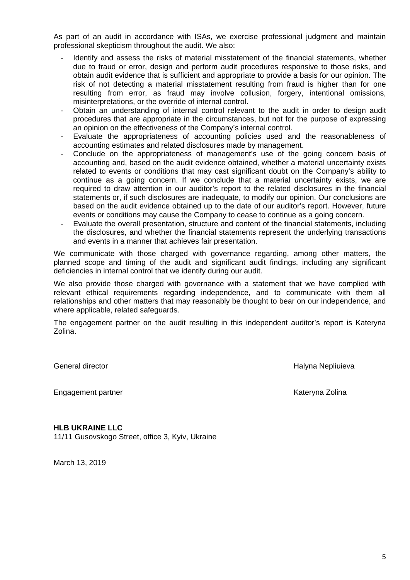As part of an audit in accordance with ISAs, we exercise professional judgment and maintain professional skepticism throughout the audit. We also:

- Identify and assess the risks of material misstatement of the financial statements, whether due to fraud or error, design and perform audit procedures responsive to those risks, and obtain audit evidence that is sufficient and appropriate to provide a basis for our opinion. The risk of not detecting a material misstatement resulting from fraud is higher than for one resulting from error, as fraud may involve collusion, forgery, intentional omissions, misinterpretations, or the override of internal control.
- Obtain an understanding of internal control relevant to the audit in order to design audit procedures that are appropriate in the circumstances, but not for the purpose of expressing an opinion on the effectiveness of the Company's internal control.
- Evaluate the appropriateness of accounting policies used and the reasonableness of accounting estimates and related disclosures made by management.
- Conclude on the appropriateness of management's use of the going concern basis of accounting and, based on the audit evidence obtained, whether a material uncertainty exists related to events or conditions that may cast significant doubt on the Company's ability to continue as a going concern. If we conclude that a material uncertainty exists, we are required to draw attention in our auditor's report to the related disclosures in the financial statements or, if such disclosures are inadequate, to modify our opinion. Our conclusions are based on the audit evidence obtained up to the date of our auditor's report. However, future events or conditions may cause the Company to cease to continue as a going concern.
- Evaluate the overall presentation, structure and content of the financial statements, including the disclosures, and whether the financial statements represent the underlying transactions and events in a manner that achieves fair presentation.

We communicate with those charged with governance regarding, among other matters, the planned scope and timing of the audit and significant audit findings, including any significant deficiencies in internal control that we identify during our audit.

We also provide those charged with governance with a statement that we have complied with relevant ethical requirements regarding independence, and to communicate with them all relationships and other matters that may reasonably be thought to bear on our independence, and where applicable, related safeguards.

The engagement partner on the audit resulting in this independent auditor's report is Kateryna Zolina.

General director **General director**  $\blacksquare$ 

Engagement partner Kateryna Zolina

# **HLB UKRAINE LLC**

11/11 Gusovskogo Street, office 3, Kyiv, Ukraine

March 13, 2019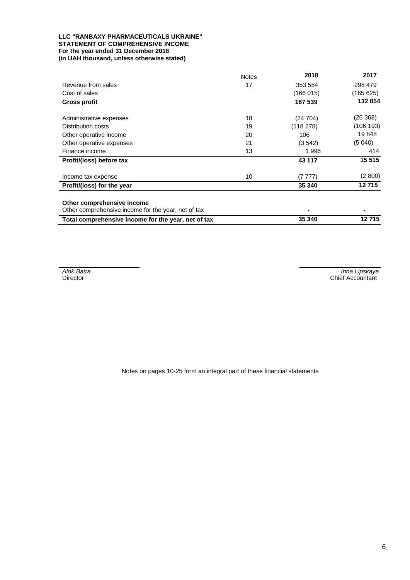## **LLC "RANBAXY PHARMACEUTICALS UKRAINE" STATEMENT OF COMPREHENSIVE INCOME For the year ended 31 December 2018 (in UAH thousand, unless otherwise stated)**

<span id="page-5-0"></span>

|                                                                                   | <b>Notes</b> | 2018      | 2017      |
|-----------------------------------------------------------------------------------|--------------|-----------|-----------|
| Revenue from sales                                                                | 17           | 353 554   | 298 479   |
| Cost of sales                                                                     |              | (166 015) | (165 625) |
| Gross profit                                                                      |              | 187 539   | 132 854   |
| Administrative expenses                                                           | 18           | (24704)   | (26 368)  |
| Distribution costs                                                                | 19           | (118 278) | (106 193) |
| Other operative income                                                            | 20           | 106       | 19848     |
| Other operative expenses                                                          | 21           | (3542)    | (5040)    |
| Finance income                                                                    | 13           | 1996      | 414       |
| Profit/(loss) before tax                                                          |              | 43 117    | 15 515    |
| Income tax expense                                                                | 10           | (7 777)   | (2800)    |
| Profit/(loss) for the year                                                        |              | 35 340    | 12715     |
| Other comprehensive income<br>Other comprehensive income for the year, net of tax |              |           |           |
| Total comprehensive income for the year, net of tax                               |              | 35 340    | 12715     |

*Alok Batra Irina Lipskaya* Director Chief Accountant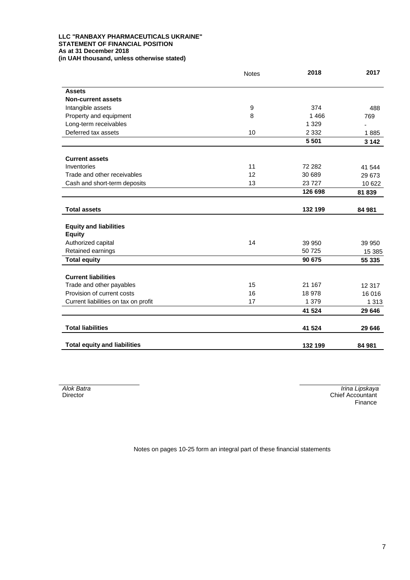# **LLC "RANBAXY PHARMACEUTICALS UKRAINE" STATEMENT OF FINANCIAL POSITION As at 31 December 2018**

<span id="page-6-0"></span>**(in UAH thousand, unless otherwise stated)**

|                                                | <b>Notes</b> | 2018    | 2017    |
|------------------------------------------------|--------------|---------|---------|
| <b>Assets</b>                                  |              |         |         |
| <b>Non-current assets</b>                      |              |         |         |
| Intangible assets                              | 9            | 374     | 488     |
| Property and equipment                         | 8            | 1466    | 769     |
| Long-term receivables                          |              | 1 3 2 9 |         |
| Deferred tax assets                            | 10           | 2 3 3 2 | 1885    |
|                                                |              | 5 5 0 1 | 3 1 4 2 |
| <b>Current assets</b>                          |              |         |         |
| Inventories                                    | 11           | 72 282  | 41 544  |
| Trade and other receivables                    | 12           | 30 689  | 29 673  |
| Cash and short-term deposits                   | 13           | 23727   | 10622   |
|                                                |              | 126 698 | 81839   |
| <b>Total assets</b>                            |              | 132 199 | 84 981  |
| <b>Equity and liabilities</b><br><b>Equity</b> |              |         |         |
| Authorized capital                             | 14           | 39 950  | 39 950  |
| Retained earnings                              |              | 50725   | 15 385  |
| <b>Total equity</b>                            |              | 90 675  | 55 335  |
| <b>Current liabilities</b>                     |              |         |         |
| Trade and other payables                       | 15           | 21 167  | 12 317  |
| Provision of current costs                     | 16           | 18 978  | 16 016  |
| Current liabilities on tax on profit           | 17           | 1 3 7 9 | 1 3 1 3 |
|                                                |              | 41 524  | 29 646  |
| <b>Total liabilities</b>                       |              | 41 524  | 29 646  |
| <b>Total equity and liabilities</b>            |              | 132 199 | 84 981  |

*Alok Batra Irina Lipskaya* Director Chief Accountant Finance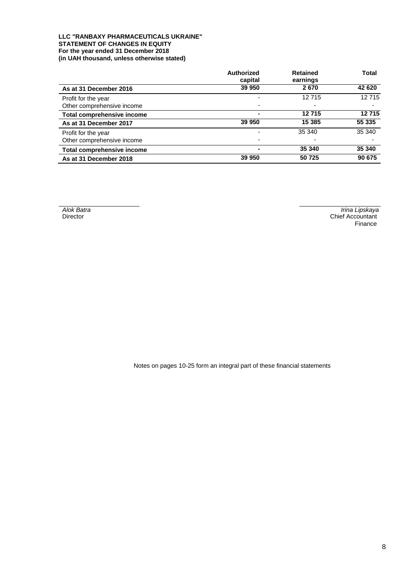## **LLC "RANBAXY PHARMACEUTICALS UKRAINE" STATEMENT OF CHANGES IN EQUITY For the year ended 31 December 2018 (in UAH thousand, unless otherwise stated)**

<span id="page-7-0"></span>

|                            | <b>Authorized</b><br>capital | <b>Retained</b><br>earnings | <b>Total</b> |
|----------------------------|------------------------------|-----------------------------|--------------|
| As at 31 December 2016     | 39 950                       | 2670                        | 42 620       |
| Profit for the year        |                              | 12715                       | 12715        |
| Other comprehensive income | $\overline{a}$               | -                           | -            |
| Total comprehensive income | ۰                            | 12715                       | 12715        |
| As at 31 December 2017     | 39 950                       | 15 3 85                     | 55 335       |
| Profit for the year        |                              | 35 340                      | 35 340       |
| Other comprehensive income | $\overline{a}$               |                             |              |
| Total comprehensive income |                              | 35 340                      | 35 340       |
| As at 31 December 2018     | 39 950                       | 50725                       | 90 675       |

*Alok Batra Irina Lipskaya* Director Chief Accountant Finance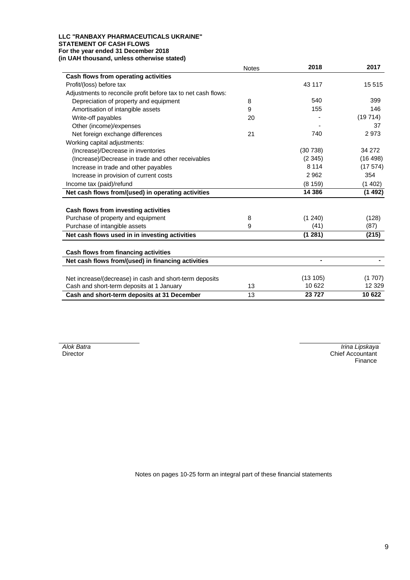## **LLC "RANBAXY PHARMACEUTICALS UKRAINE" STATEMENT OF CASH FLOWS For the year ended 31 December 2018 (in UAH thousand, unless otherwise stated)**

<span id="page-8-0"></span>

|                                                               | <b>Notes</b> | 2018    | 2017     |
|---------------------------------------------------------------|--------------|---------|----------|
| Cash flows from operating activities                          |              |         |          |
| Profit/(loss) before tax                                      |              | 43 117  | 15 515   |
| Adjustments to reconcile profit before tax to net cash flows: |              |         |          |
| Depreciation of property and equipment                        | 8            | 540     | 399      |
| Amortisation of intangible assets                             | 9            | 155     | 146      |
| Write-off payables                                            | 20           |         | (19714)  |
| Other (income)/expenses                                       |              |         | 37       |
| Net foreign exchange differences                              | 21           | 740     | 2973     |
| Working capital adjustments:                                  |              |         |          |
| (Increase)/Decrease in inventories                            |              | (30738) | 34 272   |
| (Increase)/Decrease in trade and other receivables            |              | (2345)  | (16 498) |
| Increase in trade and other payables                          |              | 8 1 1 4 | (17574)  |
| Increase in provision of current costs                        |              | 2962    | 354      |
| Income tax (paid)/refund                                      |              | (8159)  | (1402)   |
| Net cash flows from/(used) in operating activities            |              | 14 386  | (1492)   |
| Cash flows from investing activities                          |              |         |          |
| Purchase of property and equipment                            | 8            | (1240)  | (128)    |
| Purchase of intangible assets                                 | 9            | (41)    | (87)     |
| Net cash flows used in in investing activities                |              | (1281)  | (215)    |
| Cash flows from financing activities                          |              |         |          |
| Net cash flows from/(used) in financing activities            |              |         |          |
|                                                               |              |         |          |
| Net increase/(decrease) in cash and short-term deposits       |              | (13105) | (1707)   |
| Cash and short-term deposits at 1 January                     | 13           | 10 622  | 12 3 29  |
| Cash and short-term deposits at 31 December                   | 13           | 23727   | 10 622   |

*Alok Batra Irina Lipskaya* Director Chief Accountant Finance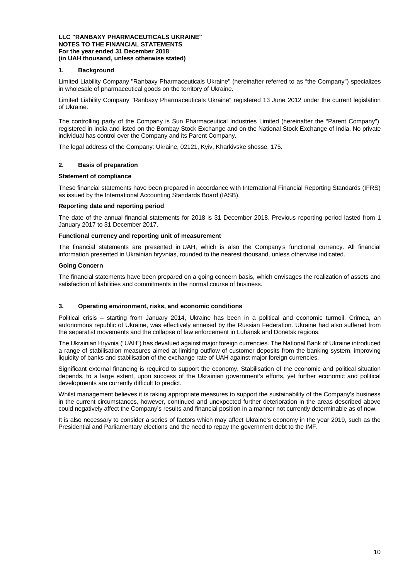## <span id="page-9-0"></span>**1. Background**

Limited Liability Company "Ranbaxy Pharmaceuticals Ukraine" (hereinafter referred to as "the Company") specializes in wholesale of pharmaceutical goods on the territory of Ukraine.

Limited Liability Company "Ranbaxy Pharmaceuticals Ukraine" registered 13 June 2012 under the current legislation of Ukraine.

The controlling party of the Company is Sun Pharmaceutical Industries Limited (hereinafter the "Parent Company"), registered in India and listed on the Bombay Stock Exchange and on the National Stock Exchange of India. No private individual has control over the Company and its Parent Company.

The legal address of the Company: Ukraine, 02121, Kyiv, Kharkivske shosse, 175.

## <span id="page-9-1"></span>**2. Basis of preparation**

## **Statement of compliance**

These financial statements have been prepared in accordance with International Financial Reporting Standards (IFRS) as issued by the International Accounting Standards Board (IASB).

## **Reporting date and reporting period**

The date of the annual financial statements for 2018 is 31 December 2018. Previous reporting period lasted from 1 January 2017 to 31 December 2017.

#### **Functional currency and reporting unit of measurement**

The financial statements are presented in UAH, which is also the Company's functional currency. All financial information presented in Ukrainian hryvnias, rounded to the nearest thousand, unless otherwise indicated.

## **Going Concern**

The financial statements have been prepared on a going concern basis, which envisages the realization of assets and satisfaction of liabilities and commitments in the normal course of business.

## <span id="page-9-2"></span>**3. Operating environment, risks, and economic conditions**

Political crisis – starting from January 2014, Ukraine has been in a political and economic turmoil. Crimea, an autonomous republic of Ukraine, was effectively annexed by the Russian Federation. Ukraine had also suffered from the separatist movements and the collapse of law enforcement in Luhansk and Donetsk regions.

The Ukrainian Hryvnia ("UAH") has devalued against major foreign currencies. The National Bank of Ukraine introduced a range of stabilisation measures aimed at limiting outflow of customer deposits from the banking system, improving liquidity of banks and stabilisation of the exchange rate of UAH against major foreign currencies.

Significant external financing is required to support the economy. Stabilisation of the economic and political situation depends, to a large extent, upon success of the Ukrainian government's efforts, yet further economic and political developments are currently difficult to predict.

Whilst management believes it is taking appropriate measures to support the sustainability of the Company's business in the current circumstances, however, continued and unexpected further deterioration in the areas described above could negatively affect the Company's results and financial position in a manner not currently determinable as of now.

It is also necessary to consider a series of factors which may affect Ukraine's economy in the year 2019, such as the Presidential and Parliamentary elections and the need to repay the government debt to the IMF.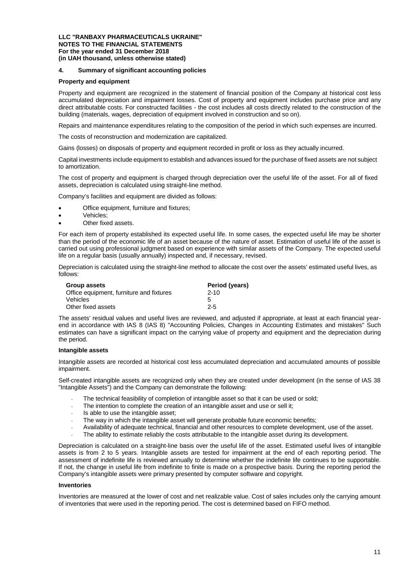## <span id="page-10-0"></span>**4. Summary of significant accounting policies**

## **Property and equipment**

Property and equipment are recognized in the statement of financial position of the Company at historical cost less accumulated depreciation and impairment losses. Cost of property and equipment includes purchase price and any direct attributable costs. For constructed facilities - the cost includes all costs directly related to the construction of the building (materials, wages, depreciation of equipment involved in construction and so on).

Repairs and maintenance expenditures relating to the composition of the period in which such expenses are incurred.

The costs of reconstruction and modernization are capitalized.

Gains (losses) on disposals of property and equipment recorded in profit or loss as they actually incurred.

Capital investments include equipment to establish and advances issued for the purchase of fixed assets are not subject to amortization.

The cost of property and equipment is charged through depreciation over the useful life of the asset. For all of fixed assets, depreciation is calculated using straight-line method.

Company's facilities and equipment are divided as follows:

- Office equipment, furniture and fixtures;
- Vehicles;
- Other fixed assets.

For each item of property established its expected useful life. In some cases, the expected useful life may be shorter than the period of the economic life of an asset because of the nature of asset. Estimation of useful life of the asset is carried out using professional judgment based on experience with similar assets of the Company. The expected useful life on a regular basis (usually annually) inspected and, if necessary, revised.

Depreciation is calculated using the straight-line method to allocate the cost over the assets' estimated useful lives, as follows:

| Group assets                             | Period (years) |  |  |
|------------------------------------------|----------------|--|--|
| Office equipment, furniture and fixtures | $2 - 10$       |  |  |
| Vehicles                                 | 5              |  |  |
| Other fixed assets                       | $2 - 5$        |  |  |

The assets' residual values and useful lives are reviewed, and adjusted if appropriate, at least at each financial yearend in accordance with IAS 8 (IAS 8) "Accounting Policies, Changes in Accounting Estimates and mistakes" Such estimates can have a significant impact on the carrying value of property and equipment and the depreciation during the period.

## **Intangible assets**

Intangible assets are recorded at historical cost less accumulated depreciation and accumulated amounts of possible impairment.

Self-created intangible assets are recognized only when they are created under development (in the sense of IAS 38 "Intangible Assets") and the Company can demonstrate the following:

- The technical feasibility of completion of intangible asset so that it can be used or sold;
- The intention to complete the creation of an intangible asset and use or sell it:
- Is able to use the intangible asset;
- The way in which the intangible asset will generate probable future economic benefits;
- Availability of adequate technical, financial and other resources to complete development, use of the asset.
- The ability to estimate reliably the costs attributable to the intangible asset during its development.

Depreciation is calculated on a straight-line basis over the useful life of the asset. Estimated useful lives of intangible assets is from 2 to 5 years. Intangible assets are tested for impairment at the end of each reporting period. The assessment of indefinite life is reviewed annually to determine whether the indefinite life continues to be supportable. If not, the change in useful life from indefinite to finite is made on a prospective basis. During the reporting period the Company's intangible assets were primary presented by computer software and copyright.

#### **Inventories**

Inventories are measured at the lower of cost and net realizable value. Cost of sales includes only the carrying amount of inventories that were used in the reporting period. The cost is determined based on FIFO method.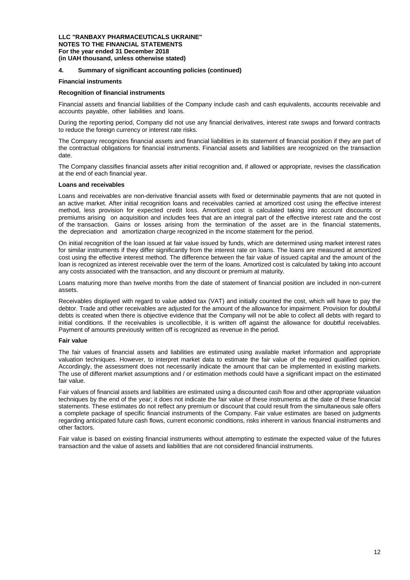## **4. Summary of significant accounting policies (continued)**

## **Financial instruments**

### **Recognition of financial instruments**

Financial assets and financial liabilities of the Company include cash and cash equivalents, accounts receivable and accounts payable, other liabilities and loans.

During the reporting period, Company did not use any financial derivatives, interest rate swaps and forward contracts to reduce the foreign currency or interest rate risks.

The Company recognizes financial assets and financial liabilities in its statement of financial position if they are part of the contractual obligations for financial instruments. Financial assets and liabilities are recognized on the transaction date.

The Company classifies financial assets after initial recognition and, if allowed or appropriate, revises the classification at the end of each financial year.

#### **Loans and receivables**

Loans and receivables are non-derivative financial assets with fixed or determinable payments that are not quoted in an active market. After initial recognition loans and receivables carried at amortized cost using the effective interest method, less provision for expected credit loss. Amortized cost is calculated taking into account discounts or premiums arising on acquisition and includes fees that are an integral part of the effective interest rate and the cost of the transaction. Gains or losses arising from the termination of the asset are in the financial statements, the depreciation and amortization charge recognized in the income statement for the period.

On initial recognition of the loan issued at fair value issued by funds, which are determined using market interest rates for similar instruments if they differ significantly from the interest rate on loans. The loans are measured at amortized cost using the effective interest method. The difference between the fair value of issued capital and the amount of the loan is recognized as interest receivable over the term of the loans. Amortized cost is calculated by taking into account any costs associated with the transaction, and any discount or premium at maturity.

Loans maturing more than twelve months from the date of statement of financial position are included in non-current assets.

Receivables displayed with regard to value added tax (VAT) and initially counted the cost, which will have to pay the debtor. Trade and other receivables are adjusted for the amount of the allowance for impairment. Provision for doubtful debts is created when there is objective evidence that the Company will not be able to collect all debts with regard to initial conditions. If the receivables is uncollectible, it is written off against the allowance for doubtful receivables. Payment of amounts previously written off is recognized as revenue in the period.

#### **Fair value**

The fair values of financial assets and liabilities are estimated using available market information and appropriate valuation techniques. However, to interpret market data to estimate the fair value of the required qualified opinion. Accordingly, the assessment does not necessarily indicate the amount that can be implemented in existing markets. The use of different market assumptions and / or estimation methods could have a significant impact on the estimated fair value.

Fair values of financial assets and liabilities are estimated using a discounted cash flow and other appropriate valuation techniques by the end of the year; it does not indicate the fair value of these instruments at the date of these financial statements. These estimates do not reflect any premium or discount that could result from the simultaneous sale offers a complete package of specific financial instruments of the Company. Fair value estimates are based on judgments regarding anticipated future cash flows, current economic conditions, risks inherent in various financial instruments and other factors.

Fair value is based on existing financial instruments without attempting to estimate the expected value of the futures transaction and the value of assets and liabilities that are not considered financial instruments.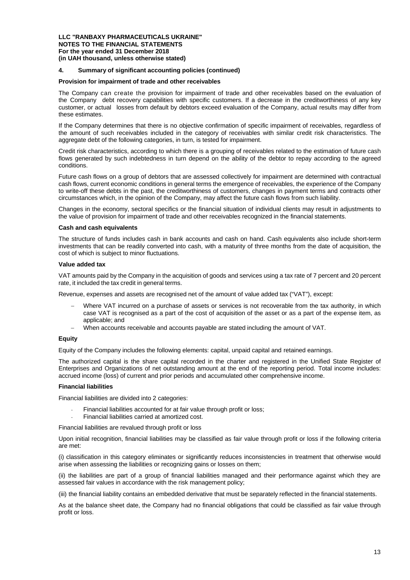## **4. Summary of significant accounting policies (continued)**

### **Provision for impairment of trade and other receivables**

The Company can create the provision for impairment of trade and other receivables based on the evaluation of the Company debt recovery capabilities with specific customers. If a decrease in the creditworthiness of any key customer, or actual losses from default by debtors exceed evaluation of the Company, actual results may differ from these estimates.

If the Company determines that there is no objective confirmation of specific impairment of receivables, regardless of the amount of such receivables included in the category of receivables with similar credit risk characteristics. The aggregate debt of the following categories, in turn, is tested for impairment.

Credit risk characteristics, according to which there is a grouping of receivables related to the estimation of future cash flows generated by such indebtedness in turn depend on the ability of the debtor to repay according to the agreed conditions.

Future cash flows on a group of debtors that are assessed collectively for impairment are determined with contractual cash flows, current economic conditions in general terms the emergence of receivables, the experience of the Company to write-off these debts in the past, the creditworthiness of customers, changes in payment terms and contracts other circumstances which, in the opinion of the Company, may affect the future cash flows from such liability.

Changes in the economy, sectoral specifics or the financial situation of individual clients may result in adjustments to the value of provision for impairment of trade and other receivables recognized in the financial statements.

#### **Cash and cash equivalents**

The structure of funds includes cash in bank accounts and cash on hand. Cash equivalents also include short-term investments that can be readily converted into cash, with a maturity of three months from the date of acquisition, the cost of which is subject to minor fluctuations.

#### **Value added tax**

VAT amounts paid by the Company in the acquisition of goods and services using a tax rate of 7 percent and 20 percent rate, it included the tax credit in general terms.

Revenue, expenses and assets are recognised net of the amount of value added tax ("VAT"), except:

- Where VAT incurred on a purchase of assets or services is not recoverable from the tax authority, in which case VAT is recognised as a part of the cost of acquisition of the asset or as a part of the expense item, as applicable; and
- − When accounts receivable and accounts payable are stated including the amount of VAT.

#### **Equity**

Equity of the Company includes the following elements: capital, unpaid capital and retained earnings.

The authorized capital is the share capital recorded in the charter and registered in the Unified State Register of Enterprises and Organizations of net outstanding amount at the end of the reporting period. Total income includes: accrued income (loss) of current and prior periods and accumulated other comprehensive income.

## **Financial liabilities**

Financial liabilities are divided into 2 categories:

- Financial liabilities accounted for at fair value through profit or loss;
- Financial liabilities carried at amortized cost.

Financial liabilities are revalued through profit or loss

Upon initial recognition, financial liabilities may be classified as fair value through profit or loss if the following criteria are met:

(i) classification in this category eliminates or significantly reduces inconsistencies in treatment that otherwise would arise when assessing the liabilities or recognizing gains or losses on them;

(ii) the liabilities are part of a group of financial liabilities managed and their performance against which they are assessed fair values in accordance with the risk management policy;

(iii) the financial liability contains an embedded derivative that must be separately reflected in the financial statements.

As at the balance sheet date, the Company had no financial obligations that could be classified as fair value through profit or loss.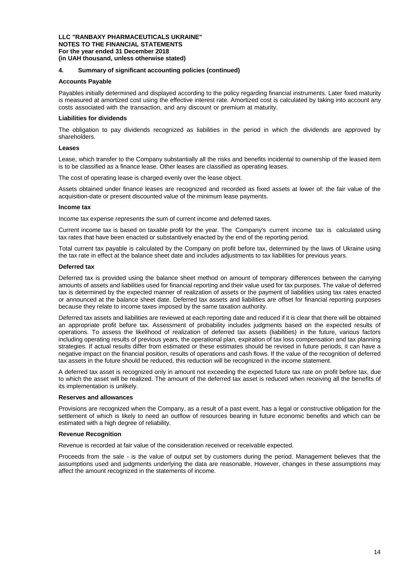## **4. Summary of significant accounting policies (continued)**

### **Accounts Payable**

Payables initially determined and displayed according to the policy regarding financial instruments. Later fixed maturity is measured at amortized cost using the effective interest rate. Amortized cost is calculated by taking into account any costs associated with the transaction, and any discount or premium at maturity.

### **Liabilities for dividends**

The obligation to pay dividends recognized as liabilities in the period in which the dividends are approved by shareholders.

#### **Leases**

Lease, which transfer to the Company substantially all the risks and benefits incidental to ownership of the leased item is to be classified as a finance lease. Other leases are classified as operating leases.

The cost of operating lease is charged evenly over the lease object.

Assets obtained under finance leases are recognized and recorded as fixed assets at lower of: the fair value of the acquisition-date or present discounted value of the minimum lease payments.

#### **Income tax**

Income tax expense represents the sum of current income and deferred taxes.

Current income tax is based on taxable profit for the year. The Company's current income tax is calculated using tax rates that have been enacted or substantively enacted by the end of the reporting period.

Total current tax payable is calculated by the Company on profit before tax, determined by the laws of Ukraine using the tax rate in effect at the balance sheet date and includes adjustments to tax liabilities for previous years.

## **Deferred tax**

Deferred tax is provided using the balance sheet method on amount of temporary differences between the carrying amounts of assets and liabilities used for financial reporting and their value used for tax purposes. The value of deferred tax is determined by the expected manner of realization of assets or the payment of liabilities using tax rates enacted or announced at the balance sheet date. Deferred tax assets and liabilities are offset for financial reporting purposes because they relate to income taxes imposed by the same taxation authority.

Deferred tax assets and liabilities are reviewed at each reporting date and reduced if it is clear that there will be obtained an appropriate profit before tax. Assessment of probability includes judgments based on the expected results of operations. To assess the likelihood of realization of deferred tax assets (liabilities) in the future, various factors including operating results of previous years, the operational plan, expiration of tax loss compensation and tax planning strategies. If actual results differ from estimated or these estimates should be revised in future periods, it can have a negative impact on the financial position, results of operations and cash flows. If the value of the recognition of deferred tax assets in the future should be reduced, this reduction will be recognized in the income statement.

A deferred tax asset is recognized only in amount not exceeding the expected future tax rate on profit before tax, due to which the asset will be realized. The amount of the deferred tax asset is reduced when receiving all the benefits of its implementation is unlikely.

## **Reserves and allowances**

Provisions are recognized when the Company, as a result of a past event, has a legal or constructive obligation for the settlement of which is likely to need an outflow of resources bearing in future economic benefits and which can be estimated with a high degree of reliability.

## **Revenue Recognition**

Revenue is recorded at fair value of the consideration received or receivable expected.

Proceeds from the sale - is the value of output set by customers during the period. Management believes that the assumptions used and judgments underlying the data are reasonable. However, changes in these assumptions may affect the amount recognized in the statements of income.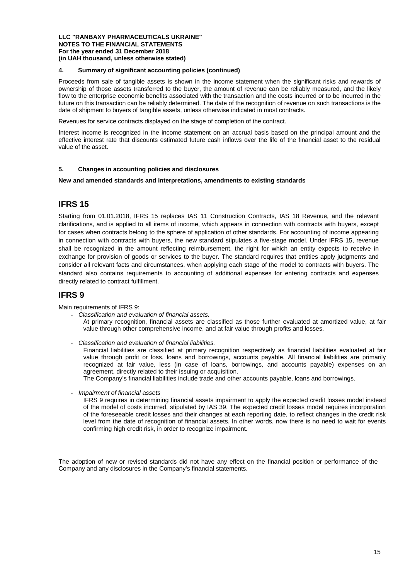# **4. Summary of significant accounting policies (continued)**

Proceeds from sale of tangible assets is shown in the income statement when the significant risks and rewards of ownership of those assets transferred to the buyer, the amount of revenue can be reliably measured, and the likely flow to the enterprise economic benefits associated with the transaction and the costs incurred or to be incurred in the future on this transaction can be reliably determined. The date of the recognition of revenue on such transactions is the date of shipment to buyers of tangible assets, unless otherwise indicated in most contracts.

Revenues for service contracts displayed on the stage of completion of the contract.

Interest income is recognized in the income statement on an accrual basis based on the principal amount and the effective interest rate that discounts estimated future cash inflows over the life of the financial asset to the residual value of the asset.

# <span id="page-14-0"></span>**5. Changes in accounting policies and disclosures**

## **New and amended standards and interpretations, amendments to existing standards**

# **IFRS 15**

Starting from 01.01.2018, IFRS 15 replaces IAS 11 Construction Contracts, IAS 18 Revenue, and the relevant clarifications, and is applied to all items of income, which appears in connection with contracts with buyers, except for cases when contracts belong to the sphere of application of other standards. For accounting of income appearing in connection with contracts with buyers, the new standard stipulates a five-stage model. Under IFRS 15, revenue shall be recognized in the amount reflecting reimbursement, the right for which an entity expects to receive in exchange for provision of goods or services to the buyer. The standard requires that entities apply judgments and consider all relevant facts and circumstances, when applying each stage of the model to contracts with buyers. The standard also contains requirements to accounting of additional expenses for entering contracts and expenses directly related to contract fulfillment.

# **IFRS 9**

Main requirements of IFRS 9:

- *Classification and evaluation of financial assets.*

At primary recognition, financial assets are classified as those further evaluated at amortized value, at fair value through other comprehensive income, and at fair value through profits and losses.

- *Classification and evaluation of financial liabilities.*

Financial liabilities are classified at primary recognition respectively as financial liabilities evaluated at fair value through profit or loss, loans and borrowings, accounts payable. All financial liabilities are primarily recognized at fair value, less (in case of loans, borrowings, and accounts payable) expenses on an agreement, directly related to their issuing or acquisition.

The Company's financial liabilities include trade and other accounts payable, loans and borrowings.

- *Impairment of financial assets*

IFRS 9 requires in determining financial assets impairment to apply the expected credit losses model instead of the model of costs incurred, stipulated by IAS 39. The expected credit losses model requires incorporation of the foreseeable credit losses and their changes at each reporting date, to reflect changes in the credit risk level from the date of recognition of financial assets. In other words, now there is no need to wait for events confirming high credit risk, in order to recognize impairment.

The adoption of new or revised standards did not have any effect on the financial position or performance of the Company and any disclosures in the Company's financial statements.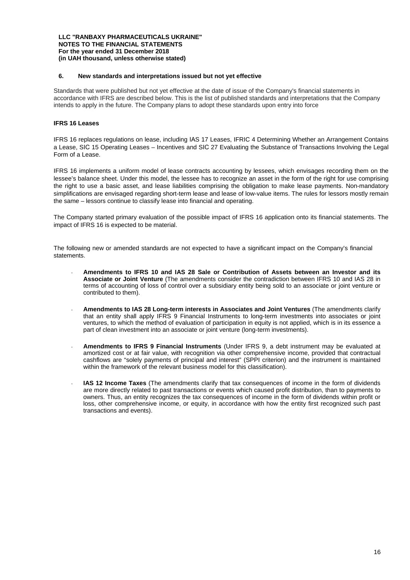## <span id="page-15-0"></span>**6. New standards and interpretations issued but not yet effective**

Standards that were published but not yet effective at the date of issue of the Company's financial statements in accordance with IFRS are described below. This is the list of published standards and interpretations that the Company intends to apply in the future. The Company plans to adopt these standards upon entry into force

## **IFRS 16 Leases**

IFRS 16 replaces regulations on lease, including ІАS 17 Leases, IFRIC 4 Determining Whether an Arrangement Contains a Lease, SІС 15 Operating Leases – Incentives and SІС 27 Evaluating the Substance of Transactions Involving the Legal Form of a Lease.

IFRS 16 implements a uniform model of lease contracts accounting by lessees, which envisages recording them on the lessee's balance sheet. Under this model, the lessee has to recognize an asset in the form of the right for use comprising the right to use a basic asset, and lease liabilities comprising the obligation to make lease payments. Non-mandatory simplifications are envisaged regarding short-term lease and lease of low-value items. The rules for lessors mostly remain the same – lessors continue to classify lease into financial and operating.

The Company started primary evaluation of the possible impact of IFRS 16 application onto its financial statements. The impact of IFRS 16 is expected to be material.

The following new or amended standards are not expected to have a significant impact on the Company's financial statements.

- **Amendments to IFRS 10 and IAS 28 Sale or Contribution of Assets between an Investor and its Associate or Joint Venture** (The amendments consider the contradiction between IFRS 10 and IAS 28 in terms of accounting of loss of control over a subsidiary entity being sold to an associate or joint venture or contributed to them).
- **Amendments to IAS 28 Long-term interests in Associates and Joint Ventures** (The amendments clarify that an entity shall apply IFRS 9 Financial Instruments to long-term investments into associates or joint ventures, to which the method of evaluation of participation in equity is not applied, which is in its essence a part of clean investment into an associate or joint venture (long-term investments).
- **Amendments to IFRS 9 Financial Instruments** (Under IFRS 9, a debt instrument may be evaluated at amortized cost or at fair value, with recognition via other comprehensive income, provided that contractual cashflows are "solely payments of principal and interest" (SPPI criterion) and the instrument is maintained within the framework of the relevant business model for this classification).
- **IAS 12 Income Taxes** (The amendments clarify that tax consequences of income in the form of dividends are more directly related to past transactions or events which caused profit distribution, than to payments to owners. Thus, an entity recognizes the tax consequences of income in the form of dividends within profit or loss, other comprehensive income, or equity, in accordance with how the entity first recognized such past transactions and events).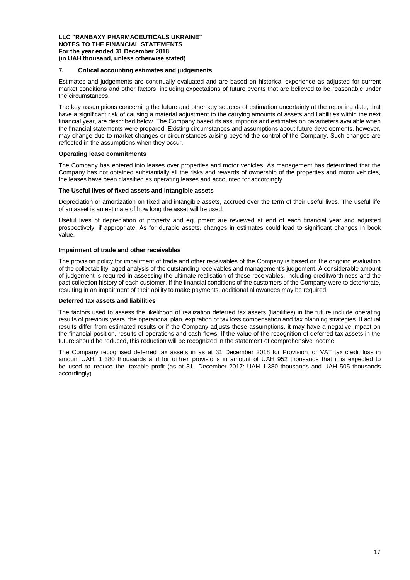## <span id="page-16-0"></span>**7. Critical accounting estimates and judgements**

Estimates and judgements are continually evaluated and are based on historical experience as adjusted for current market conditions and other factors, including expectations of future events that are believed to be reasonable under the circumstances.

The key assumptions concerning the future and other key sources of estimation uncertainty at the reporting date, that have a significant risk of causing a material adjustment to the carrying amounts of assets and liabilities within the next financial vear, are described below. The Company based its assumptions and estimates on parameters available when the financial statements were prepared. Existing circumstances and assumptions about future developments, however, may change due to market changes or circumstances arising beyond the control of the Company. Such changes are reflected in the assumptions when they occur.

## **Operating lease commitments**

The Company has entered into leases over properties and motor vehicles. As management has determined that the Company has not obtained substantially all the risks and rewards of ownership of the properties and motor vehicles, the leases have been classified as operating leases and accounted for accordingly.

## **The Useful lives of fixed assets and intangible assets**

Depreciation or amortization on fixed and intangible assets, accrued over the term of their useful lives. The useful life of an asset is an estimate of how long the asset will be used.

Useful lives of depreciation of property and equipment are reviewed at end of each financial year and adjusted prospectively, if appropriate. As for durable assets, changes in estimates could lead to significant changes in book value.

## **Impairment of trade and other receivables**

The provision policy for impairment of trade and other receivables of the Company is based on the ongoing evaluation of the collectability, aged analysis of the outstanding receivables and management's judgement. A considerable amount of judgement is required in assessing the ultimate realisation of these receivables, including creditworthiness and the past collection history of each customer. If the financial conditions of the customers of the Company were to deteriorate, resulting in an impairment of their ability to make payments, additional allowances may be required.

## **Deferred tax assets and liabilities**

The factors used to assess the likelihood of realization deferred tax assets (liabilities) in the future include operating results of previous years, the operational plan, expiration of tax loss compensation and tax planning strategies. If actual results differ from estimated results or if the Company adjusts these assumptions, it may have a negative impact on the financial position, results of operations and cash flows. If the value of the recognition of deferred tax assets in the future should be reduced, this reduction will be recognized in the statement of comprehensive income.

The Company recognised deferred tax assets in as at 31 December 2018 for Provision for VAT tax credit loss in amount UAH 1 380 thousands and for other provisions in amount of UAH 952 thousands that it is expected to be used to reduce the taxable profit (as at 31 December 2017: UAH 1 380 thousands and UAH 505 thousands accordingly).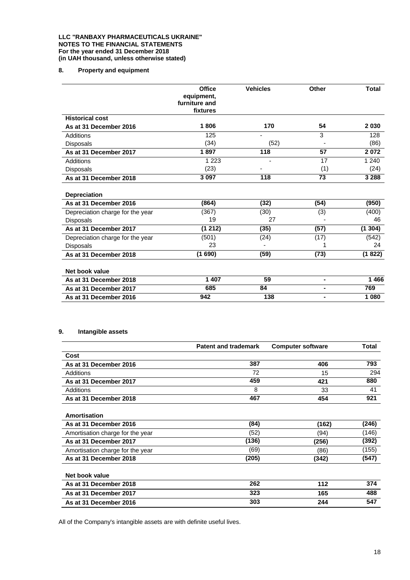# <span id="page-17-0"></span>**8. Property and equipment**

|                                  | Office<br>equipment,<br>furniture and<br>fixtures | <b>Vehicles</b> | Other          | Total   |
|----------------------------------|---------------------------------------------------|-----------------|----------------|---------|
| <b>Historical cost</b>           |                                                   |                 |                |         |
| As at 31 December 2016           | 1806                                              | 170             | 54             | 2030    |
| Additions                        | 125                                               |                 | 3              | 128     |
| <b>Disposals</b>                 | (34)                                              | (52)            |                | (86)    |
| As at 31 December 2017           | 1897                                              | 118             | 57             | 2072    |
| Additions                        | 1 2 2 3                                           |                 | 17             | 1 2 4 0 |
| <b>Disposals</b>                 | (23)                                              |                 | (1)            | (24)    |
| As at 31 December 2018           | 3 0 9 7                                           | 118             | 73             | 3 2 8 8 |
| <b>Depreciation</b>              |                                                   |                 |                |         |
| As at 31 December 2016           | (864)                                             | (32)            | (54)           | (950)   |
| Depreciation charge for the year | (367)                                             | (30)            | (3)            | (400)   |
| <b>Disposals</b>                 | 19                                                | 27              |                | 46      |
| As at 31 December 2017           | (1212)                                            | (35)            | (57)           | (1304)  |
| Depreciation charge for the year | (501)                                             | (24)            | (17)           | (542)   |
| Disposals                        | 23                                                |                 |                | 24      |
| As at 31 December 2018           | (1690)                                            | (59)            | (73)           | (1822)  |
| Net book value                   |                                                   |                 |                |         |
| As at 31 December 2018           | 1 407                                             | 59              | $\blacksquare$ | 1466    |
| As at 31 December 2017           | 685                                               | 84              | Ξ.             | 769     |
| As at 31 December 2016           | 942                                               | 138             | Ξ.             | 1 0 8 0 |

# <span id="page-17-1"></span>**9. Intangible assets**

|                                  | <b>Patent and trademark</b> | <b>Computer software</b> | Total |
|----------------------------------|-----------------------------|--------------------------|-------|
| Cost                             |                             |                          |       |
| As at 31 December 2016           | 387                         | 406                      | 793   |
| Additions                        | 72                          | 15                       | 294   |
| As at 31 December 2017           | 459                         | 421                      | 880   |
| <b>Additions</b>                 | 8                           | 33                       | 41    |
| As at 31 December 2018           | 467                         | 454                      | 921   |
| Amortisation                     |                             |                          |       |
| As at 31 December 2016           | (84)                        | (162)                    | (246) |
| Amortisation charge for the year | (52)                        | (94)                     | (146) |
| As at 31 December 2017           | (136)                       | (256)                    | (392) |
| Amortisation charge for the year | (69)                        | (86)                     | (155) |
| As at 31 December 2018           | (205)                       | (342)                    | (547) |
| Net book value                   |                             |                          |       |
| As at 31 December 2018           | 262                         | 112                      | 374   |
| As at 31 December 2017           | 323                         | 165                      | 488   |
| As at 31 December 2016           | 303                         | 244                      | 547   |

All of the Company's intangible assets are with definite useful lives.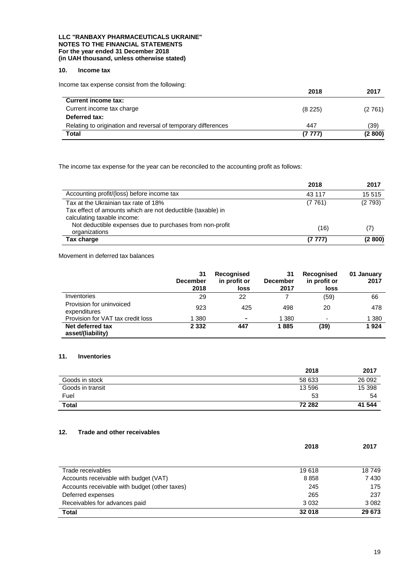# <span id="page-18-0"></span>**10. Income tax**

Income tax expense consist from the following:

|                                                               | 2018   | 2017   |
|---------------------------------------------------------------|--------|--------|
| <b>Current income tax:</b>                                    |        |        |
| Current income tax charge                                     | (8225) | (2761) |
| Deferred tax:                                                 |        |        |
| Relating to origination and reversal of temporary differences | 447    | (39)   |
| Total                                                         | (7777) | (2800) |

The income tax expense for the year can be reconciled to the accounting profit as follows:

| 2018   | 2017    |
|--------|---------|
| 43 117 | 15 515  |
| (7761) | (2793)  |
|        |         |
|        |         |
| (16)   | (7)     |
| (7777) | (2 800) |
|        |         |

# Movement in deferred tax balances

|                                          | 31<br><b>December</b><br>2018 | <b>Recognised</b><br>in profit or<br>loss | 31<br><b>December</b><br>2017 | Recognised<br>in profit or<br>loss | 01 January<br>2017 |
|------------------------------------------|-------------------------------|-------------------------------------------|-------------------------------|------------------------------------|--------------------|
| Inventories                              | 29                            | 22                                        |                               | (59)                               | 66                 |
| Provision for uninvoiced<br>expenditures | 923                           | 425                                       | 498                           | 20                                 | 478                |
| Provision for VAT tax credit loss        | 1 380                         | $\overline{\phantom{0}}$                  | 1 380                         | $\overline{\phantom{0}}$           | 1 380              |
| Net deferred tax<br>asset/(liability)    | 2 3 3 2                       | 447                                       | 1885                          | (39)                               | 1924               |

## <span id="page-18-1"></span>**11. Inventories**

|                  | 2018   | 2017    |
|------------------|--------|---------|
| Goods in stock   | 58 633 | 26 092  |
| Goods in transit | 13 596 | 15 3 98 |
| Fuel             | 53     | 54      |
| <b>Total</b>     | 72 282 | 41 544  |

# <span id="page-18-2"></span>**12. Trade and other receivables**

|                                               | 2018    | 2017    |
|-----------------------------------------------|---------|---------|
|                                               |         |         |
| Trade receivables                             | 19618   | 18749   |
| Accounts receivable with budget (VAT)         | 8858    | 7430    |
| Accounts receivable with budget (other taxes) | 245     | 175     |
| Deferred expenses                             | 265     | 237     |
| Receivables for advances paid                 | 3 0 3 2 | 3 0 8 2 |
| <b>Total</b>                                  | 32 018  | 29 673  |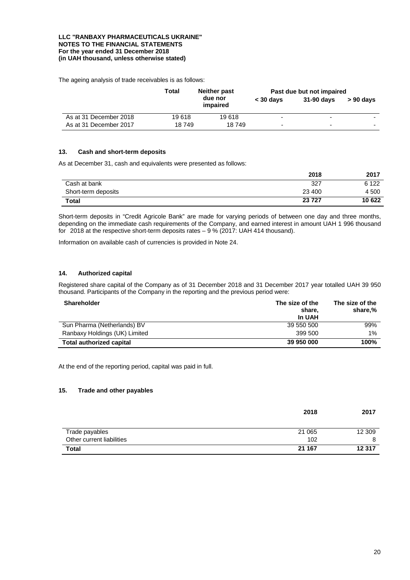The ageing analysis of trade receivables is as follows:

|                        | Total | <b>Neither past</b> |                          | Past due but not impaired |                          |
|------------------------|-------|---------------------|--------------------------|---------------------------|--------------------------|
|                        |       | due nor<br>impaired | $<$ 30 days              | 31-90 davs                | > 90 davs                |
| As at 31 December 2018 | 19618 | 19618               | $\overline{\phantom{0}}$ | $\overline{\phantom{0}}$  | $\overline{\phantom{0}}$ |
| As at 31 December 2017 | 18749 | 18 749              | $\overline{\phantom{0}}$ | $\overline{\phantom{0}}$  |                          |

# <span id="page-19-0"></span>**13. Cash and short-term deposits**

As at December 31, cash and equivalents were presented as follows:

|                     | 2018    | 2017    |
|---------------------|---------|---------|
| Cash at bank        | 327     | 6 1 2 2 |
| Short-term deposits | 23 400  | 4 500   |
| <b>Total</b>        | 23 7 27 | 10 622  |

Short-term deposits in "Credit Agricole Bank" are made for varying periods of between one day and three months, depending on the immediate cash requirements of the Company, and earned interest in amount UAH 1 996 thousand for 2018 at the respective short-term deposits rates – 9 % (2017: UAH 414 thousand).

Information on available cash of currencies is provided in Note 24.

## <span id="page-19-1"></span>**14. Authorized capital**

Registered share capital of the Company as of 31 December 2018 and 31 December 2017 year totalled UAH 39 950 thousand. Participants of the Company in the reporting and the previous period were:

| <b>Shareholder</b>              | The size of the<br>share.<br><b>In UAH</b> | The size of the<br>share,% |
|---------------------------------|--------------------------------------------|----------------------------|
| Sun Pharma (Netherlands) BV     | 39 550 500                                 | 99%                        |
| Ranbaxy Holdings (UK) Limited   | 399 500                                    | $1\%$                      |
| <b>Total authorized capital</b> | 39 950 000                                 | 100%                       |

At the end of the reporting period, capital was paid in full.

## <span id="page-19-2"></span>**15. Trade and other payables**

|                           | 2018    | 2017    |
|---------------------------|---------|---------|
|                           |         |         |
| Trade payables            | 21 0 65 | 12 309  |
| Other current liabilities | 102     |         |
| <b>Total</b>              | 21 167  | 12 3 17 |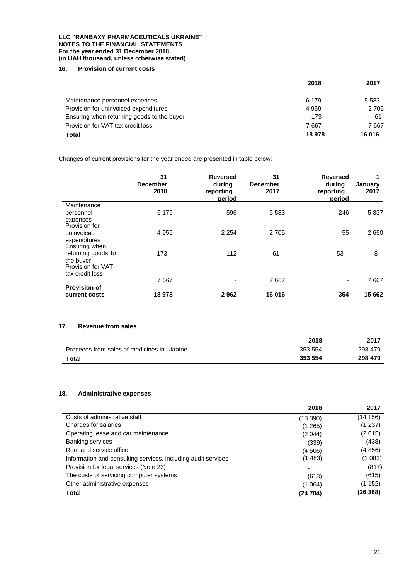# <span id="page-20-0"></span>**16. Provision of current costs**

|                                            | 2018    |         |  | 2017 |
|--------------------------------------------|---------|---------|--|------|
| Maintenance personnel expenses             | 6 179   | 5 5 8 3 |  |      |
| Provision for uninvoiced expenditures      | 4 9 5 9 | 2 7 0 5 |  |      |
| Ensuring when returning goods to the buyer | 173     | 61      |  |      |
| Provision for VAT tax credit loss          | 7667    | 7 667   |  |      |
| Total                                      | 18 978  | 16 016  |  |      |

Changes of current provisions for the year ended are presented in table below:

|                                                              | 31<br><b>December</b><br>2018 | <b>Reversed</b><br>during<br>reporting<br>period | 31<br><b>December</b><br>2017 | <b>Reversed</b><br>during<br>reporting<br>period | January<br>2017 |
|--------------------------------------------------------------|-------------------------------|--------------------------------------------------|-------------------------------|--------------------------------------------------|-----------------|
| Maintenance<br>personnel<br>expenses                         | 6 1 7 9                       | 596                                              | 5 5 8 3                       | 246                                              | 5 3 3 7         |
| Provision for<br>uninvoiced<br>expenditures<br>Ensuring when | 4 9 5 9                       | 2 2 5 4                                          | 2 7 0 5                       | 55                                               | 2650            |
| returning goods to<br>the buyer<br>Provision for VAT         | 173                           | 112                                              | 61                            | 53                                               | 8               |
| tax credit loss                                              | 7667                          | ٠                                                | 7667                          | $\overline{\phantom{a}}$                         | 7667            |
| <b>Provision of</b><br>current costs                         | 18 978                        | 2962                                             | 16 016                        | 354                                              | 15 662          |

# <span id="page-20-1"></span>**17. Revenue from sales**

|                                             | 2018    | 2017    |
|---------------------------------------------|---------|---------|
| Proceeds from sales of medicines in Ukraine | 353 554 | 298 479 |
| Total                                       | 353 554 | 298 479 |

## <span id="page-20-2"></span>**18. Administrative expenses**

<span id="page-20-3"></span>

|                                                               | 2018     | 2017     |
|---------------------------------------------------------------|----------|----------|
| Costs of administrative staff                                 | (13 390) | (14 156) |
| Charges for salaries                                          | (1265)   | (1 237)  |
| Operating lease and car maintenance                           | (2044)   | (2015)   |
| <b>Banking services</b>                                       | (339)    | (438)    |
| Rent and service office                                       | (4506)   | (4 856)  |
| Information and consulting services, including audit services | (1483)   | (1082)   |
| Provision for legal services (Note 23)                        |          | (817)    |
| The costs of servicing computer systems                       | (613)    | (615)    |
| Other administrative expenses                                 | (1064)   | (1 152)  |
| <b>Total</b>                                                  | (24 704) | (26 368) |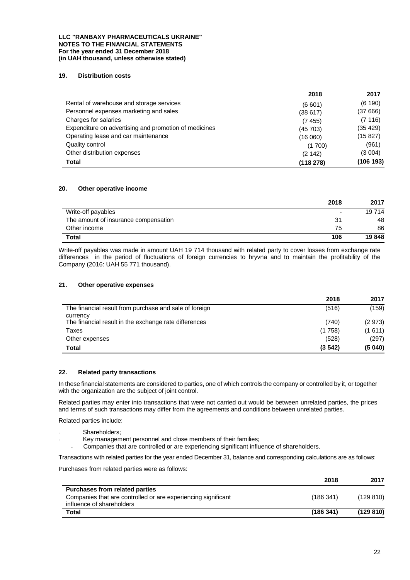# **19. Distribution costs**

|                                                       | 2018      | 2017      |
|-------------------------------------------------------|-----------|-----------|
| Rental of warehouse and storage services              | (6601)    | (6190)    |
| Personnel expenses marketing and sales                | (38617)   | (37666)   |
| Charges for salaries                                  | (7455)    | (7116)    |
| Expenditure on advertising and promotion of medicines | (45703)   | (35 429)  |
| Operating lease and car maintenance                   | (16060)   | (15827)   |
| Quality control                                       | (1700)    | (961)     |
| Other distribution expenses                           | (2 142)   | (3004)    |
| <b>Total</b>                                          | (118 278) | (106 193) |

## <span id="page-21-0"></span>**20. Other operative income**

|                                      | 2018                     | 2017  |
|--------------------------------------|--------------------------|-------|
| Write-off payables                   | $\overline{\phantom{a}}$ | 19714 |
| The amount of insurance compensation | 31                       | 48    |
| Other income                         | 75                       | 86    |
| <b>Total</b>                         | 106                      | 19848 |

Write-off payables was made in amount UAH 19 714 thousand with related party to cover losses from exchange rate differences in the period of fluctuations of foreign currencies to hryvna and to maintain the profitability of the Company (2016: UAH 55 771 thousand).

## <span id="page-21-1"></span>**21. Other operative expenses**

|                                                        | 2018   | 2017   |
|--------------------------------------------------------|--------|--------|
| The financial result from purchase and sale of foreign | (516)  | (159)  |
| currency                                               |        |        |
| The financial result in the exchange rate differences  | (740)  | (2973) |
| Taxes                                                  | (1758) | (1611) |
| Other expenses                                         | (528)  | (297)  |
| <b>Total</b>                                           | (3542) | (5040) |

# <span id="page-21-2"></span>**22. Related party transactions**

In these financial statements are considered to parties, one of which controls the company or controlled by it, or together with the organization are the subject of joint control.

Related parties may enter into transactions that were not carried out would be between unrelated parties, the prices and terms of such transactions may differ from the agreements and conditions between unrelated parties.

Related parties include:

- Shareholders;
- Key management personnel and close members of their families;
	- Companies that are controlled or are experiencing significant influence of shareholders.

Transactions with related parties for the year ended December 31, balance and corresponding calculations are as follows:

Purchases from related parties were as follows:

|                                                                                            | 2018     | 2017     |
|--------------------------------------------------------------------------------------------|----------|----------|
| <b>Purchases from related parties</b>                                                      |          |          |
| Companies that are controlled or are experiencing significant<br>influence of shareholders | (186341) | (129810) |
| Total                                                                                      | (186341) | (129810) |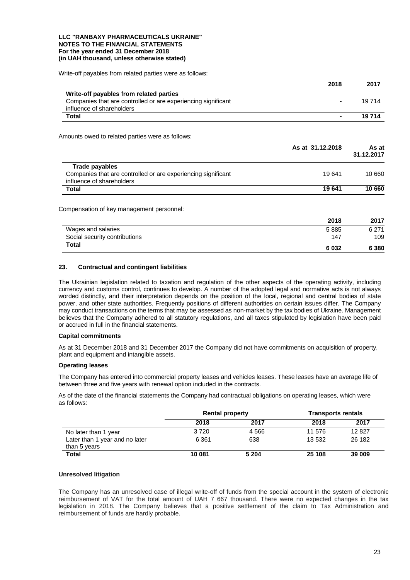Write-off payables from related parties were as follows:

|                                                               | 2018 | 2017   |
|---------------------------------------------------------------|------|--------|
| Write-off payables from related parties                       |      |        |
| Companies that are controlled or are experiencing significant |      | 19 714 |
| influence of shareholders                                     |      |        |
| <b>Total</b>                                                  |      | 19714  |
|                                                               |      |        |

Amounts owed to related parties were as follows:

|                                                                                 | As at 31.12.2018 | As at<br>31.12.2017 |
|---------------------------------------------------------------------------------|------------------|---------------------|
| Trade payables<br>Companies that are controlled or are experiencing significant | 19641            | 10 660              |
| influence of shareholders<br>Total                                              | 19641            | 10 660              |

Compensation of key management personnel:

|                               | 2018    | 2017    |
|-------------------------------|---------|---------|
| Wages and salaries            | 5885    | 6 2 7 1 |
| Social security contributions | 147     | 109     |
| <b>Total</b>                  | 6 0 3 2 | 6 3 8 0 |

## <span id="page-22-0"></span>**23. Contractual and contingent liabilities**

The Ukrainian legislation related to taxation and regulation of the other aspects of the operating activity, including currency and customs control, continues to develop. A number of the adopted legal and normative acts is not always worded distinctly, and their interpretation depends on the position of the local, regional and central bodies of state power, and other state authorities. Frequently positions of different authorities on certain issues differ. The Company may conduct transactions on the terms that may be assessed as non-market by the tax bodies of Ukraine. Management believes that the Company adhered to all statutory regulations, and all taxes stipulated by legislation have been paid or accrued in full in the financial statements.

## **Capital commitments**

As at 31 December 2018 and 31 December 2017 the Company did not have commitments on acquisition of property, plant and equipment and intangible assets.

## **Operating leases**

The Company has entered into commercial property leases and vehicles leases. These leases have an average life of between three and five years with renewal option included in the contracts.

As of the date of the financial statements the Company had contractual obligations on operating leases, which were as follows:

|                                                | <b>Rental property</b> |         | <b>Transports rentals</b> |        |
|------------------------------------------------|------------------------|---------|---------------------------|--------|
|                                                | 2018                   | 2017    | 2018                      | 2017   |
| No later than 1 year                           | 3720                   | 4 5 6 6 | 11 576                    | 12827  |
| Later than 1 year and no later<br>than 5 years | 6 3 6 1                | 638     | 13 532                    | 26 182 |
| Total                                          | 10 081                 | 5 2 0 4 | 25 108                    | 39 009 |

## <span id="page-22-1"></span>**Unresolved litigation**

The Company has an unresolved case of illegal write-off of funds from the special account in the system of electronic reimbursement of VAT for the total amount of UAH 7 667 thousand. There were no expected changes in the tax legislation in 2018. The Company believes that a positive settlement of the claim to Tax Administration and reimbursement of funds are hardly probable.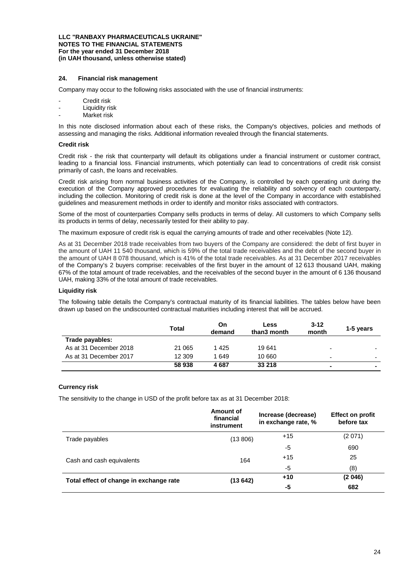# **24. Financial risk management**

Company may occur to the following risks associated with the use of financial instruments:

- Credit risk
- Liquidity risk
- Market risk

In this note disclosed information about each of these risks, the Company's objectives, policies and methods of assessing and managing the risks. Additional information revealed through the financial statements.

## **Credit risk**

Credit risk - the risk that counterparty will default its obligations under a financial instrument or customer contract, leading to a financial loss. Financial instruments, which potentially can lead to concentrations of credit risk consist primarily of cash, the loans and receivables.

Credit risk arising from normal business activities of the Company, is controlled by each operating unit during the execution of the Company approved procedures for evaluating the reliability and solvency of each counterparty, including the collection. Monitoring of credit risk is done at the level of the Company in accordance with established guidelines and measurement methods in order to identify and monitor risks associated with contractors.

Some of the most of counterparties Company sells products in terms of delay. All customers to which Company sells its products in terms of delay, necessarily tested for their ability to pay.

The maximum exposure of credit risk is equal the carrying amounts of trade and other receivables (Note 12).

As at 31 December 2018 trade receivables from two buyers of the Company are considered: the debt of first buyer in the amount of UAH 11 540 thousand, which is 59% of the total trade receivables and the debt of the second buyer in the amount of UAH 8 078 thousand, which is 41% of the total trade receivables. As at 31 December 2017 receivables of the Company's 2 buyers comprise: receivables of the first buyer in the amount of 12 613 thousand UAH, making 67% of the total amount of trade receivables, and the receivables of the second buyer in the amount of 6 136 thousand UAH, making 33% of the total amount of trade receivables.

# **Liquidity risk**

The following table details the Company's contractual maturity of its financial liabilities. The tables below have been drawn up based on the undiscounted contractual maturities including interest that will be accrued.

|                        | Total   | On<br>demand | <b>Less</b><br>than3 month | $3 - 12$<br>month        | 1-5 years |
|------------------------|---------|--------------|----------------------------|--------------------------|-----------|
| Trade payables:        |         |              |                            |                          |           |
| As at 31 December 2018 | 21 0 65 | 1425         | 19641                      | -                        |           |
| As at 31 December 2017 | 12 309  | 1649         | 10 660                     | $\overline{\phantom{0}}$ |           |
|                        | 58 938  | 4687         | 33 218                     |                          | ۰         |

## **Currency risk**

The sensitivity to the change in USD of the profit before tax as at 31 December 2018:

|                                         | <b>Amount of</b><br>financial<br>instrument | Increase (decrease)<br>in exchange rate, % | <b>Effect on profit</b><br>before tax |
|-----------------------------------------|---------------------------------------------|--------------------------------------------|---------------------------------------|
| Trade payables                          | (13, 806)                                   | $+15$                                      | (2071)                                |
|                                         |                                             | -5                                         | 690                                   |
| Cash and cash equivalents               | 164                                         | $+15$                                      | 25                                    |
|                                         |                                             | -5                                         | (8)                                   |
| Total effect of change in exchange rate | (13642)                                     | $+10$                                      | (2046)                                |
|                                         |                                             | -5                                         | 682                                   |